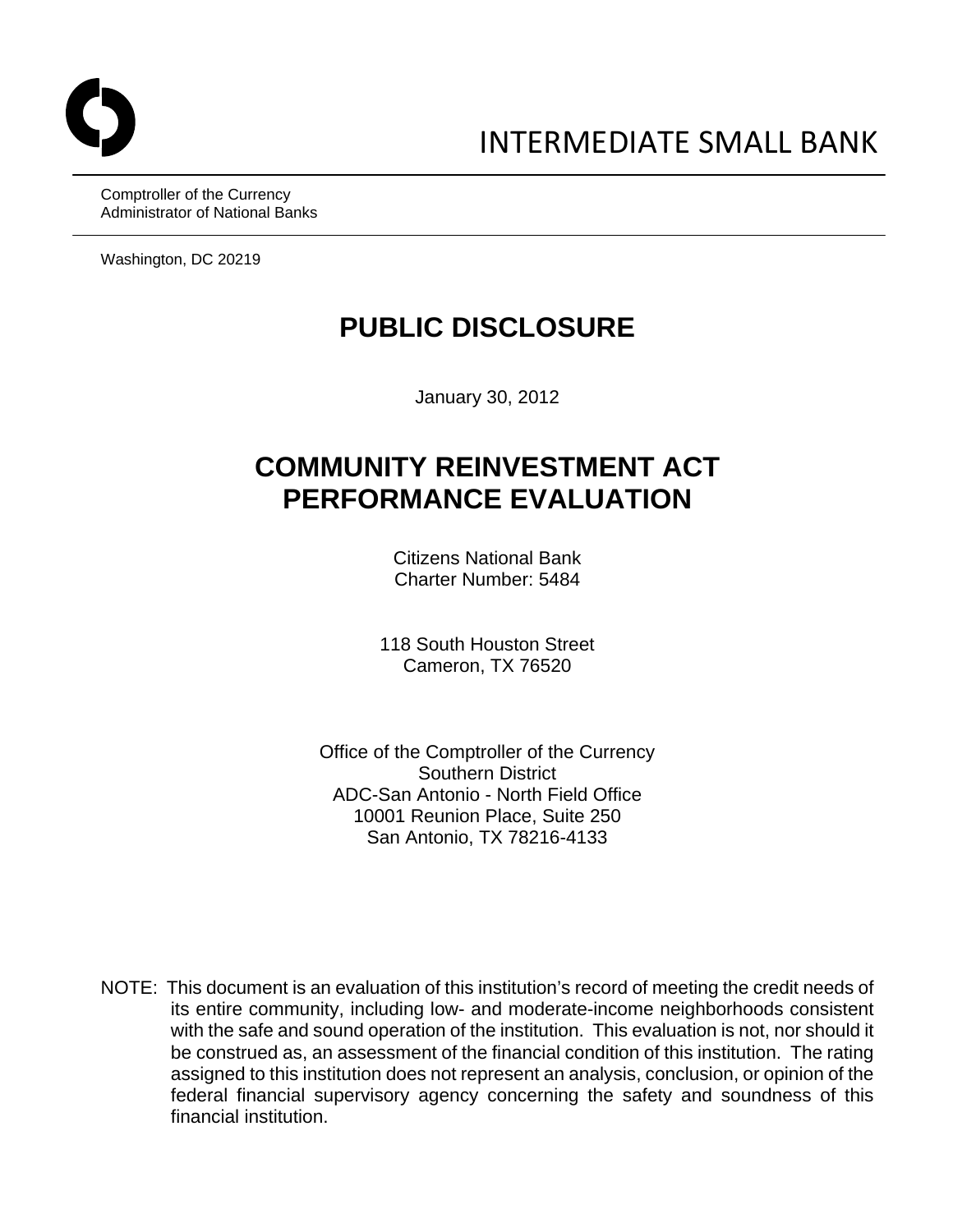Comptroller of the Currency Administrator of National Banks

Washington, DC 20219

# **PUBLIC DISCLOSURE**

January 30, 2012

# **COMMUNITY REINVESTMENT ACT PERFORMANCE EVALUATION**

Citizens National Bank Charter Number: 5484

118 South Houston Street Cameron, TX 76520

Office of the Comptroller of the Currency Southern District ADC-San Antonio - North Field Office 10001 Reunion Place, Suite 250 San Antonio, TX 78216-4133

NOTE: This document is an evaluation of this institution's record of meeting the credit needs of its entire community, including low- and moderate-income neighborhoods consistent with the safe and sound operation of the institution. This evaluation is not, nor should it be construed as, an assessment of the financial condition of this institution. The rating assigned to this institution does not represent an analysis, conclusion, or opinion of the federal financial supervisory agency concerning the safety and soundness of this financial institution.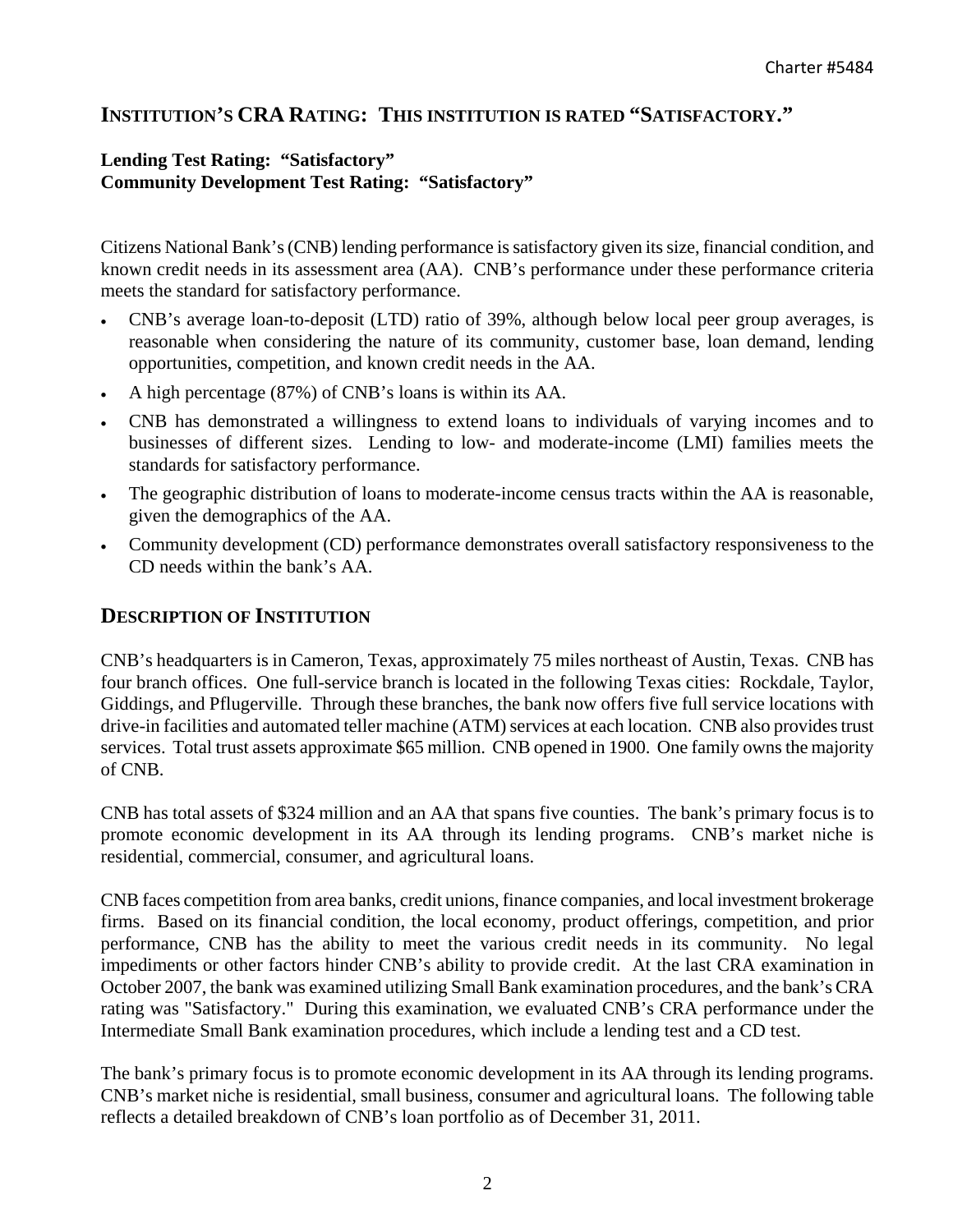# **INSTITUTION'S CRA RATING: THIS INSTITUTION IS RATED "SATISFACTORY."**

## **Lending Test Rating: "Satisfactory" Community Development Test Rating: "Satisfactory"**

Citizens National Bank's (CNB) lending performance is satisfactory given its size, financial condition, and known credit needs in its assessment area (AA). CNB's performance under these performance criteria meets the standard for satisfactory performance.

- CNB's average loan-to-deposit (LTD) ratio of 39%, although below local peer group averages, is reasonable when considering the nature of its community, customer base, loan demand, lending opportunities, competition, and known credit needs in the AA.
- A high percentage (87%) of CNB's loans is within its AA.
- CNB has demonstrated a willingness to extend loans to individuals of varying incomes and to businesses of different sizes. Lending to low- and moderate-income (LMI) families meets the standards for satisfactory performance.
- The geographic distribution of loans to moderate-income census tracts within the AA is reasonable, given the demographics of the AA.
- Community development (CD) performance demonstrates overall satisfactory responsiveness to the CD needs within the bank's AA.

## **DESCRIPTION OF INSTITUTION**

CNB's headquarters is in Cameron, Texas, approximately 75 miles northeast of Austin, Texas. CNB has four branch offices. One full-service branch is located in the following Texas cities: Rockdale, Taylor, Giddings, and Pflugerville. Through these branches, the bank now offers five full service locations with drive-in facilities and automated teller machine (ATM) services at each location. CNB also provides trust services. Total trust assets approximate \$65 million. CNB opened in 1900. One family owns the majority of CNB.

CNB has total assets of \$324 million and an AA that spans five counties. The bank's primary focus is to promote economic development in its AA through its lending programs. CNB's market niche is residential, commercial, consumer, and agricultural loans.

CNB faces competition from area banks, credit unions, finance companies, and local investment brokerage firms. Based on its financial condition, the local economy, product offerings, competition, and prior performance, CNB has the ability to meet the various credit needs in its community. No legal impediments or other factors hinder CNB's ability to provide credit. At the last CRA examination in October 2007, the bank was examined utilizing Small Bank examination procedures, and the bank's CRA rating was "Satisfactory." During this examination, we evaluated CNB's CRA performance under the Intermediate Small Bank examination procedures, which include a lending test and a CD test.

The bank's primary focus is to promote economic development in its AA through its lending programs. CNB's market niche is residential, small business, consumer and agricultural loans. The following table reflects a detailed breakdown of CNB's loan portfolio as of December 31, 2011.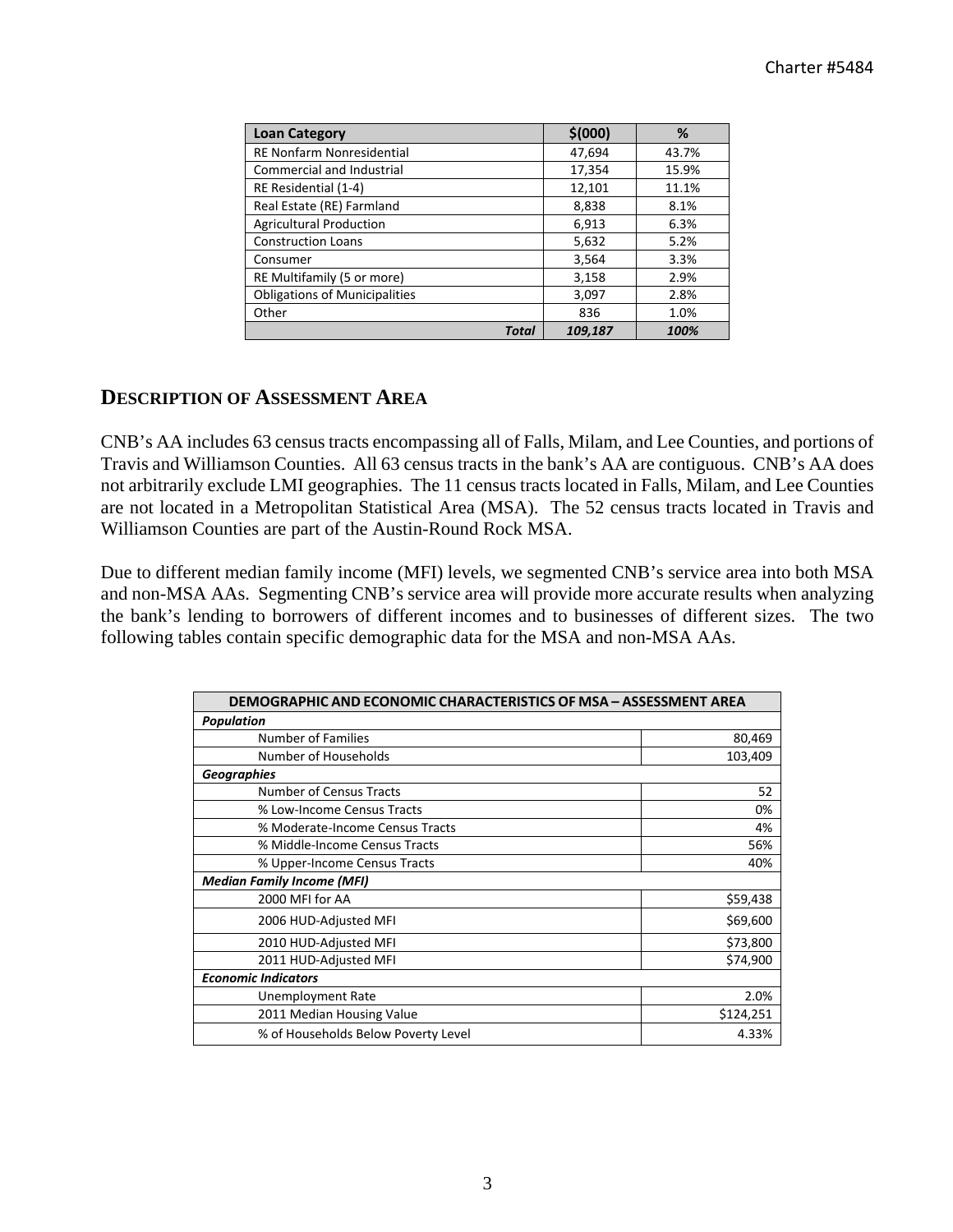| <b>Loan Category</b>                 | \$(000) | %     |
|--------------------------------------|---------|-------|
| <b>RE Nonfarm Nonresidential</b>     | 47,694  | 43.7% |
| <b>Commercial and Industrial</b>     | 17,354  | 15.9% |
| RE Residential (1-4)                 | 12,101  | 11.1% |
| Real Estate (RE) Farmland            | 8,838   | 8.1%  |
| <b>Agricultural Production</b>       | 6,913   | 6.3%  |
| <b>Construction Loans</b>            | 5,632   | 5.2%  |
| Consumer                             | 3,564   | 3.3%  |
| RE Multifamily (5 or more)           | 3,158   | 2.9%  |
| <b>Obligations of Municipalities</b> | 3,097   | 2.8%  |
| Other                                | 836     | 1.0%  |
| <b>Total</b>                         | 109,187 | 100%  |

# **DESCRIPTION OF ASSESSMENT AREA**

CNB's AA includes 63 census tracts encompassing all of Falls, Milam, and Lee Counties, and portions of Travis and Williamson Counties. All 63 census tracts in the bank's AA are contiguous. CNB's AA does not arbitrarily exclude LMI geographies. The 11 census tracts located in Falls, Milam, and Lee Counties are not located in a Metropolitan Statistical Area (MSA). The 52 census tracts located in Travis and Williamson Counties are part of the Austin-Round Rock MSA.

Due to different median family income (MFI) levels, we segmented CNB's service area into both MSA and non-MSA AAs. Segmenting CNB's service area will provide more accurate results when analyzing the bank's lending to borrowers of different incomes and to businesses of different sizes. The two following tables contain specific demographic data for the MSA and non-MSA AAs.

| <b>DEMOGRAPHIC AND ECONOMIC CHARACTERISTICS OF MSA - ASSESSMENT AREA</b> |           |  |  |  |  |
|--------------------------------------------------------------------------|-----------|--|--|--|--|
| <b>Population</b>                                                        |           |  |  |  |  |
| Number of Families                                                       | 80,469    |  |  |  |  |
| Number of Households                                                     | 103,409   |  |  |  |  |
| <b>Geographies</b>                                                       |           |  |  |  |  |
| <b>Number of Census Tracts</b>                                           | 52        |  |  |  |  |
| % Low-Income Census Tracts                                               | 0%        |  |  |  |  |
| % Moderate-Income Census Tracts                                          | 4%        |  |  |  |  |
| % Middle-Income Census Tracts                                            | 56%       |  |  |  |  |
| % Upper-Income Census Tracts                                             | 40%       |  |  |  |  |
| <b>Median Family Income (MFI)</b>                                        |           |  |  |  |  |
| 2000 MFI for AA                                                          | \$59,438  |  |  |  |  |
| 2006 HUD-Adjusted MFI                                                    | \$69,600  |  |  |  |  |
| 2010 HUD-Adjusted MFI                                                    | \$73,800  |  |  |  |  |
| 2011 HUD-Adjusted MFI                                                    | \$74,900  |  |  |  |  |
| <b>Economic Indicators</b>                                               |           |  |  |  |  |
| Unemployment Rate                                                        | 2.0%      |  |  |  |  |
| 2011 Median Housing Value                                                | \$124,251 |  |  |  |  |
| % of Households Below Poverty Level                                      | 4.33%     |  |  |  |  |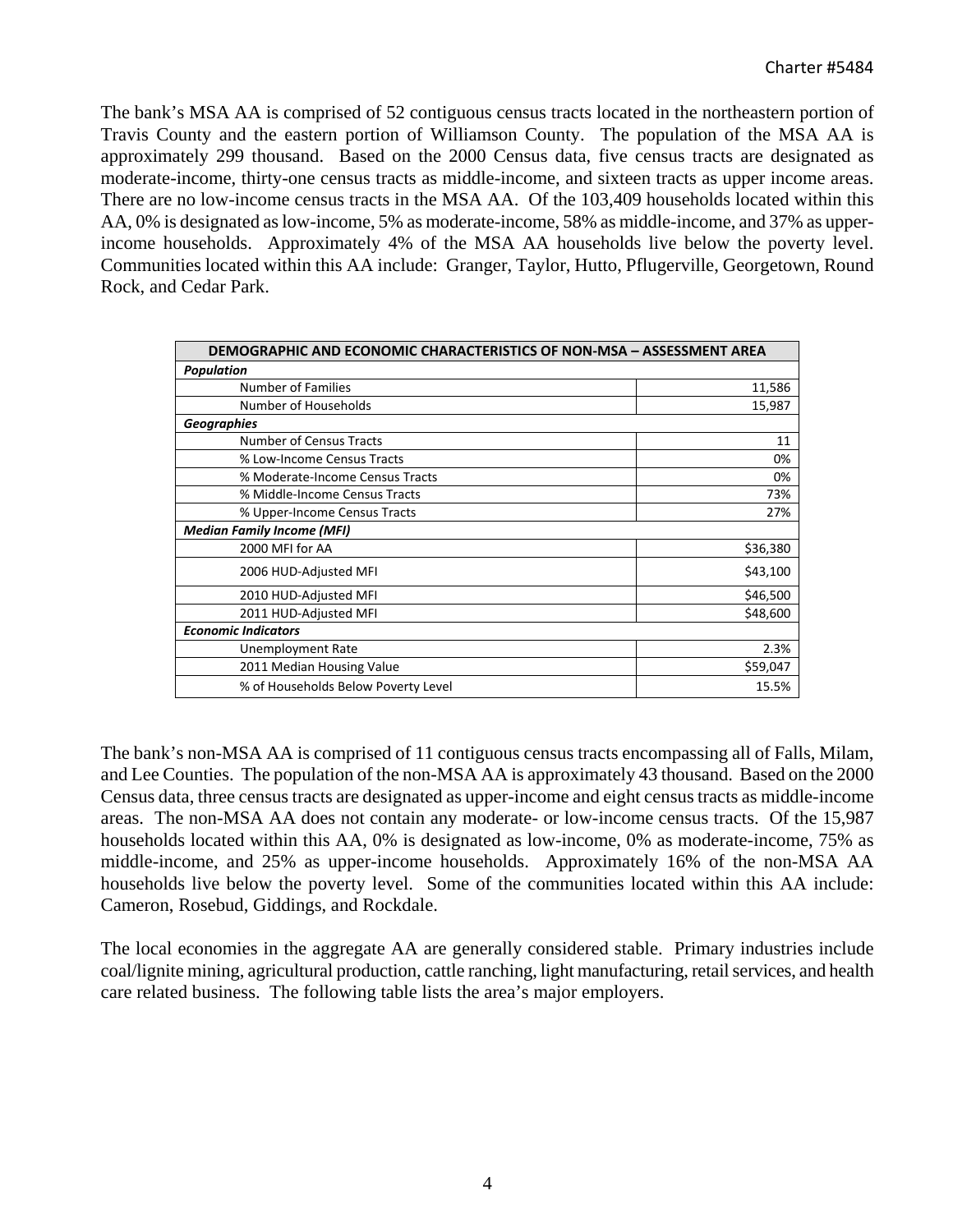The bank's MSA AA is comprised of 52 contiguous census tracts located in the northeastern portion of Travis County and the eastern portion of Williamson County. The population of the MSA AA is approximately 299 thousand. Based on the 2000 Census data, five census tracts are designated as moderate-income, thirty-one census tracts as middle-income, and sixteen tracts as upper income areas. There are no low-income census tracts in the MSA AA. Of the 103,409 households located within this AA, 0% is designated as low-income, 5% as moderate-income, 58% as middle-income, and 37% as upperincome households. Approximately 4% of the MSA AA households live below the poverty level. Communities located within this AA include: Granger, Taylor, Hutto, Pflugerville, Georgetown, Round Rock, and Cedar Park.

| <b>DEMOGRAPHIC AND ECONOMIC CHARACTERISTICS OF NON-MSA - ASSESSMENT AREA</b> |          |  |  |  |  |  |
|------------------------------------------------------------------------------|----------|--|--|--|--|--|
| <b>Population</b>                                                            |          |  |  |  |  |  |
| Number of Families                                                           | 11,586   |  |  |  |  |  |
| Number of Households                                                         | 15,987   |  |  |  |  |  |
| <b>Geographies</b>                                                           |          |  |  |  |  |  |
| <b>Number of Census Tracts</b>                                               | 11       |  |  |  |  |  |
| % Low-Income Census Tracts                                                   | 0%       |  |  |  |  |  |
| % Moderate-Income Census Tracts                                              | 0%       |  |  |  |  |  |
| % Middle-Income Census Tracts                                                | 73%      |  |  |  |  |  |
| % Upper-Income Census Tracts                                                 | 27%      |  |  |  |  |  |
| <b>Median Family Income (MFI)</b>                                            |          |  |  |  |  |  |
| 2000 MFI for AA                                                              | \$36,380 |  |  |  |  |  |
| 2006 HUD-Adjusted MFI                                                        | \$43,100 |  |  |  |  |  |
| 2010 HUD-Adjusted MFI                                                        | \$46,500 |  |  |  |  |  |
| 2011 HUD-Adjusted MFI                                                        | \$48,600 |  |  |  |  |  |
| <b>Economic Indicators</b>                                                   |          |  |  |  |  |  |
| Unemployment Rate                                                            | 2.3%     |  |  |  |  |  |
| 2011 Median Housing Value                                                    | \$59,047 |  |  |  |  |  |
| % of Households Below Poverty Level                                          | 15.5%    |  |  |  |  |  |

The bank's non-MSA AA is comprised of 11 contiguous census tracts encompassing all of Falls, Milam, and Lee Counties. The population of the non-MSA AA is approximately 43 thousand. Based on the 2000 Census data, three census tracts are designated as upper-income and eight census tracts as middle-income areas. The non-MSA AA does not contain any moderate- or low-income census tracts. Of the 15,987 households located within this AA, 0% is designated as low-income, 0% as moderate-income, 75% as middle-income, and 25% as upper-income households. Approximately 16% of the non-MSA AA households live below the poverty level. Some of the communities located within this AA include: Cameron, Rosebud, Giddings, and Rockdale.

The local economies in the aggregate AA are generally considered stable. Primary industries include coal/lignite mining, agricultural production, cattle ranching, light manufacturing, retail services, and health care related business. The following table lists the area's major employers.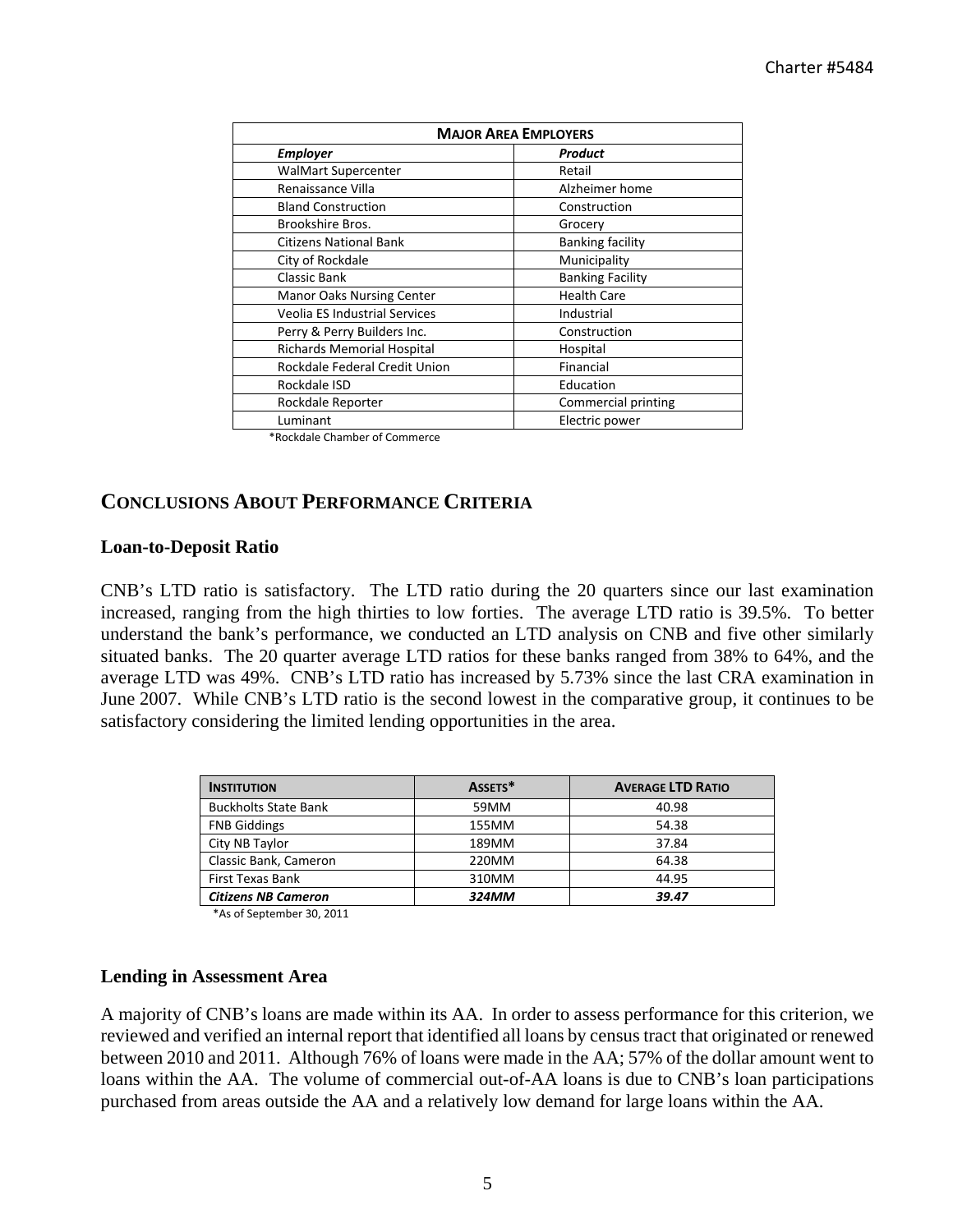| <b>MAJOR AREA EMPLOYERS</b>          |                         |  |  |  |  |  |  |
|--------------------------------------|-------------------------|--|--|--|--|--|--|
| <b>Employer</b>                      | Product                 |  |  |  |  |  |  |
| <b>WalMart Supercenter</b>           | Retail                  |  |  |  |  |  |  |
| Renaissance Villa                    | Alzheimer home          |  |  |  |  |  |  |
| <b>Bland Construction</b>            | Construction            |  |  |  |  |  |  |
| Brookshire Bros.                     | Grocery                 |  |  |  |  |  |  |
| <b>Citizens National Bank</b>        | <b>Banking facility</b> |  |  |  |  |  |  |
| City of Rockdale                     | Municipality            |  |  |  |  |  |  |
| Classic Bank                         | <b>Banking Facility</b> |  |  |  |  |  |  |
| <b>Manor Oaks Nursing Center</b>     | <b>Health Care</b>      |  |  |  |  |  |  |
| <b>Veolia ES Industrial Services</b> | Industrial              |  |  |  |  |  |  |
| Perry & Perry Builders Inc.          | Construction            |  |  |  |  |  |  |
| Richards Memorial Hospital           | Hospital                |  |  |  |  |  |  |
| Rockdale Federal Credit Union        | Financial               |  |  |  |  |  |  |
| Rockdale ISD                         | Education               |  |  |  |  |  |  |
| Rockdale Reporter                    | Commercial printing     |  |  |  |  |  |  |
| Luminant                             | Electric power          |  |  |  |  |  |  |

\*Rockdale Chamber of Commerce

## **CONCLUSIONS ABOUT PERFORMANCE CRITERIA**

#### **Loan-to-Deposit Ratio**

CNB's LTD ratio is satisfactory. The LTD ratio during the 20 quarters since our last examination increased, ranging from the high thirties to low forties. The average LTD ratio is 39.5%. To better understand the bank's performance, we conducted an LTD analysis on CNB and five other similarly situated banks. The 20 quarter average LTD ratios for these banks ranged from 38% to 64%, and the average LTD was 49%. CNB's LTD ratio has increased by 5.73% since the last CRA examination in June 2007. While CNB's LTD ratio is the second lowest in the comparative group, it continues to be satisfactory considering the limited lending opportunities in the area.

| <b>INSTITUTION</b>          | ASSETS* | <b>AVERAGE LTD RATIO</b> |
|-----------------------------|---------|--------------------------|
| <b>Buckholts State Bank</b> | 59MM    | 40.98                    |
| <b>FNB Giddings</b>         | 155MM   | 54.38                    |
| City NB Taylor              | 189MM   | 37.84                    |
| Classic Bank, Cameron       | 220MM   | 64.38                    |
| First Texas Bank            | 310MM   | 44.95                    |
| <b>Citizens NB Cameron</b>  | 324MM   | 39.47                    |

\*As of September 30, 2011

#### **Lending in Assessment Area**

A majority of CNB's loans are made within its AA. In order to assess performance for this criterion, we reviewed and verified an internal report that identified all loans by census tract that originated or renewed between 2010 and 2011. Although 76% of loans were made in the AA; 57% of the dollar amount went to loans within the AA. The volume of commercial out-of-AA loans is due to CNB's loan participations purchased from areas outside the AA and a relatively low demand for large loans within the AA.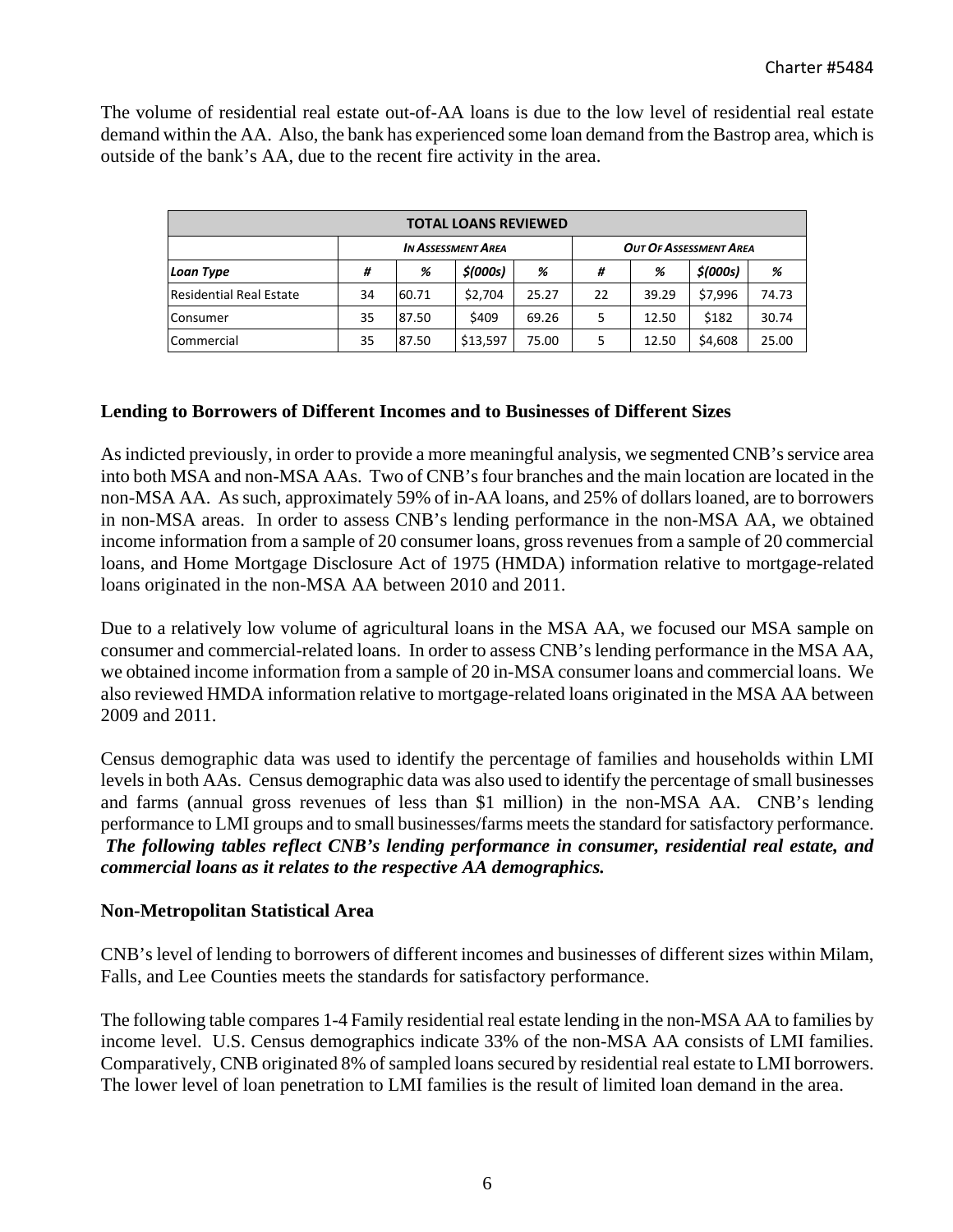The volume of residential real estate out-of-AA loans is due to the low level of residential real estate demand within the AA. Also, the bank has experienced some loan demand from the Bastrop area, which is outside of the bank's AA, due to the recent fire activity in the area.

| <b>TOTAL LOANS REVIEWED</b>    |                           |       |          |       |                               |       |          |       |  |  |
|--------------------------------|---------------------------|-------|----------|-------|-------------------------------|-------|----------|-------|--|--|
|                                | <b>IN ASSESSMENT AREA</b> |       |          |       | <b>OUT OF ASSESSMENT AREA</b> |       |          |       |  |  |
| <b>Loan Type</b>               | #                         | %     | \$(000s) | %     | #                             | %     | \$(000s) | %     |  |  |
| <b>Residential Real Estate</b> | 34                        | 60.71 | \$2,704  | 25.27 | 22                            | 39.29 | \$7,996  | 74.73 |  |  |
| Consumer                       | 35                        | 87.50 | \$409    | 69.26 | 5                             | 12.50 | \$182    | 30.74 |  |  |
| Commercial                     | 35                        | 87.50 | \$13,597 | 75.00 | 5                             | 12.50 | \$4,608  | 25.00 |  |  |

## **Lending to Borrowers of Different Incomes and to Businesses of Different Sizes**

As indicted previously, in order to provide a more meaningful analysis, we segmented CNB's service area into both MSA and non-MSA AAs. Two of CNB's four branches and the main location are located in the non-MSA AA. As such, approximately 59% of in-AA loans, and 25% of dollars loaned, are to borrowers in non-MSA areas. In order to assess CNB's lending performance in the non-MSA AA, we obtained income information from a sample of 20 consumer loans, gross revenues from a sample of 20 commercial loans, and Home Mortgage Disclosure Act of 1975 (HMDA) information relative to mortgage-related loans originated in the non-MSA AA between 2010 and 2011.

Due to a relatively low volume of agricultural loans in the MSA AA, we focused our MSA sample on consumer and commercial-related loans. In order to assess CNB's lending performance in the MSA AA, we obtained income information from a sample of 20 in-MSA consumer loans and commercial loans. We also reviewed HMDA information relative to mortgage-related loans originated in the MSA AA between 2009 and 2011.

Census demographic data was used to identify the percentage of families and households within LMI levels in both AAs. Census demographic data was also used to identify the percentage of small businesses and farms (annual gross revenues of less than \$1 million) in the non-MSA AA. CNB's lending performance to LMI groups and to small businesses/farms meets the standard for satisfactory performance. *The following tables reflect CNB's lending performance in consumer, residential real estate, and commercial loans as it relates to the respective AA demographics.* 

## **Non-Metropolitan Statistical Area**

CNB's level of lending to borrowers of different incomes and businesses of different sizes within Milam, Falls, and Lee Counties meets the standards for satisfactory performance.

The following table compares 1-4 Family residential real estate lending in the non-MSA AA to families by income level. U.S. Census demographics indicate 33% of the non-MSA AA consists of LMI families. Comparatively, CNB originated 8% of sampled loans secured by residential real estate to LMI borrowers. The lower level of loan penetration to LMI families is the result of limited loan demand in the area.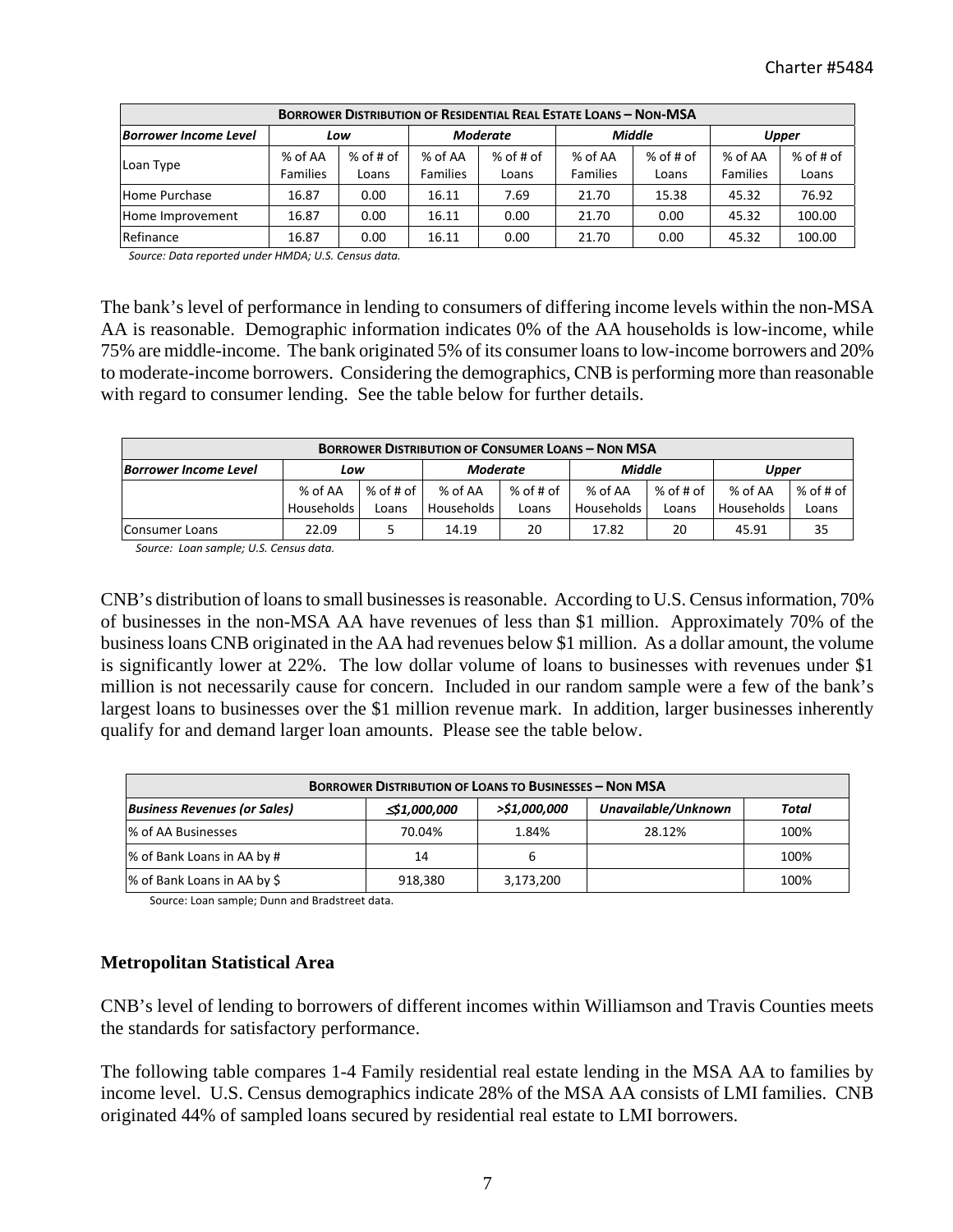| <b>BORROWER DISTRIBUTION OF RESIDENTIAL REAL ESTATE LOANS - NON-MSA</b> |                            |                    |                            |                      |                            |                    |                            |                      |  |  |  |  |
|-------------------------------------------------------------------------|----------------------------|--------------------|----------------------------|----------------------|----------------------------|--------------------|----------------------------|----------------------|--|--|--|--|
| <b>Borrower Income Level</b>                                            | Low                        |                    | <b>Moderate</b>            |                      | <b>Middle</b>              |                    | <b>Upper</b>               |                      |  |  |  |  |
| Loan Type                                                               | % of AA<br><b>Families</b> | % of # of<br>Loans | % of AA<br><b>Families</b> | $%$ of # of<br>Loans | % of AA<br><b>Families</b> | % of # of<br>Loans | % of AA<br><b>Families</b> | $%$ of # of<br>Loans |  |  |  |  |
| Home Purchase                                                           | 16.87                      | 0.00               | 16.11                      | 7.69                 | 21.70                      | 15.38              | 45.32                      | 76.92                |  |  |  |  |
| Home Improvement                                                        | 16.87                      | 0.00               | 16.11                      | 0.00                 | 21.70                      | 0.00               | 45.32                      | 100.00               |  |  |  |  |
| Refinance                                                               | 16.87                      | 0.00               | 16.11                      | 0.00                 | 21.70                      | 0.00               | 45.32                      | 100.00               |  |  |  |  |

 *Source: Data reported under HMDA; U.S. Census data.*

The bank's level of performance in lending to consumers of differing income levels within the non-MSA AA is reasonable. Demographic information indicates 0% of the AA households is low-income, while 75% are middle-income. The bank originated 5% of its consumer loans to low-income borrowers and 20% to moderate-income borrowers. Considering the demographics, CNB is performing more than reasonable with regard to consumer lending. See the table below for further details.

| <b>BORROWER DISTRIBUTION OF CONSUMER LOANS - NON MSA</b> |              |             |                 |           |            |             |              |             |  |  |  |
|----------------------------------------------------------|--------------|-------------|-----------------|-----------|------------|-------------|--------------|-------------|--|--|--|
| <b>Borrower Income Level</b>                             | Low          |             | <b>Moderate</b> |           | Middle     |             | <b>Upper</b> |             |  |  |  |
|                                                          | % of AA      | $%$ of # of | % of AA         | % of # of | % of AA    | $%$ of # of | % of AA      | $%$ of # of |  |  |  |
|                                                          | Households I | Loans       | Households I    | Loans     | Households | Loans       | Households   | Loans       |  |  |  |
| Consumer Loans                                           | 22.09        |             | 14.19           | 20        | 17.82      | 20          | 45.91        | 35          |  |  |  |

 *Source: Loan sample; U.S. Census data.*

CNB's distribution of loans to small businesses is reasonable. According to U.S. Census information, 70% of businesses in the non-MSA AA have revenues of less than \$1 million. Approximately 70% of the business loans CNB originated in the AA had revenues below \$1 million. As a dollar amount, the volume is significantly lower at 22%. The low dollar volume of loans to businesses with revenues under \$1 million is not necessarily cause for concern. Included in our random sample were a few of the bank's largest loans to businesses over the \$1 million revenue mark. In addition, larger businesses inherently qualify for and demand larger loan amounts. Please see the table below.

| <b>BORROWER DISTRIBUTION OF LOANS TO BUSINESSES - NON MSA</b> |              |              |                     |       |  |  |  |  |  |  |  |
|---------------------------------------------------------------|--------------|--------------|---------------------|-------|--|--|--|--|--|--|--|
| <b>Business Revenues (or Sales)</b>                           | ≤\$1,000,000 | >\$1,000,000 | Unavailable/Unknown | Total |  |  |  |  |  |  |  |
| % of AA Businesses                                            | 70.04%       | 1.84%        | 28.12%              | 100%  |  |  |  |  |  |  |  |
| % of Bank Loans in AA by #                                    | 14           | b            |                     | 100%  |  |  |  |  |  |  |  |
| % of Bank Loans in AA by \$                                   | 918,380      | 3,173,200    |                     | 100%  |  |  |  |  |  |  |  |

Source: Loan sample; Dunn and Bradstreet data.

## **Metropolitan Statistical Area**

CNB's level of lending to borrowers of different incomes within Williamson and Travis Counties meets the standards for satisfactory performance.

The following table compares 1-4 Family residential real estate lending in the MSA AA to families by income level. U.S. Census demographics indicate 28% of the MSA AA consists of LMI families. CNB originated 44% of sampled loans secured by residential real estate to LMI borrowers.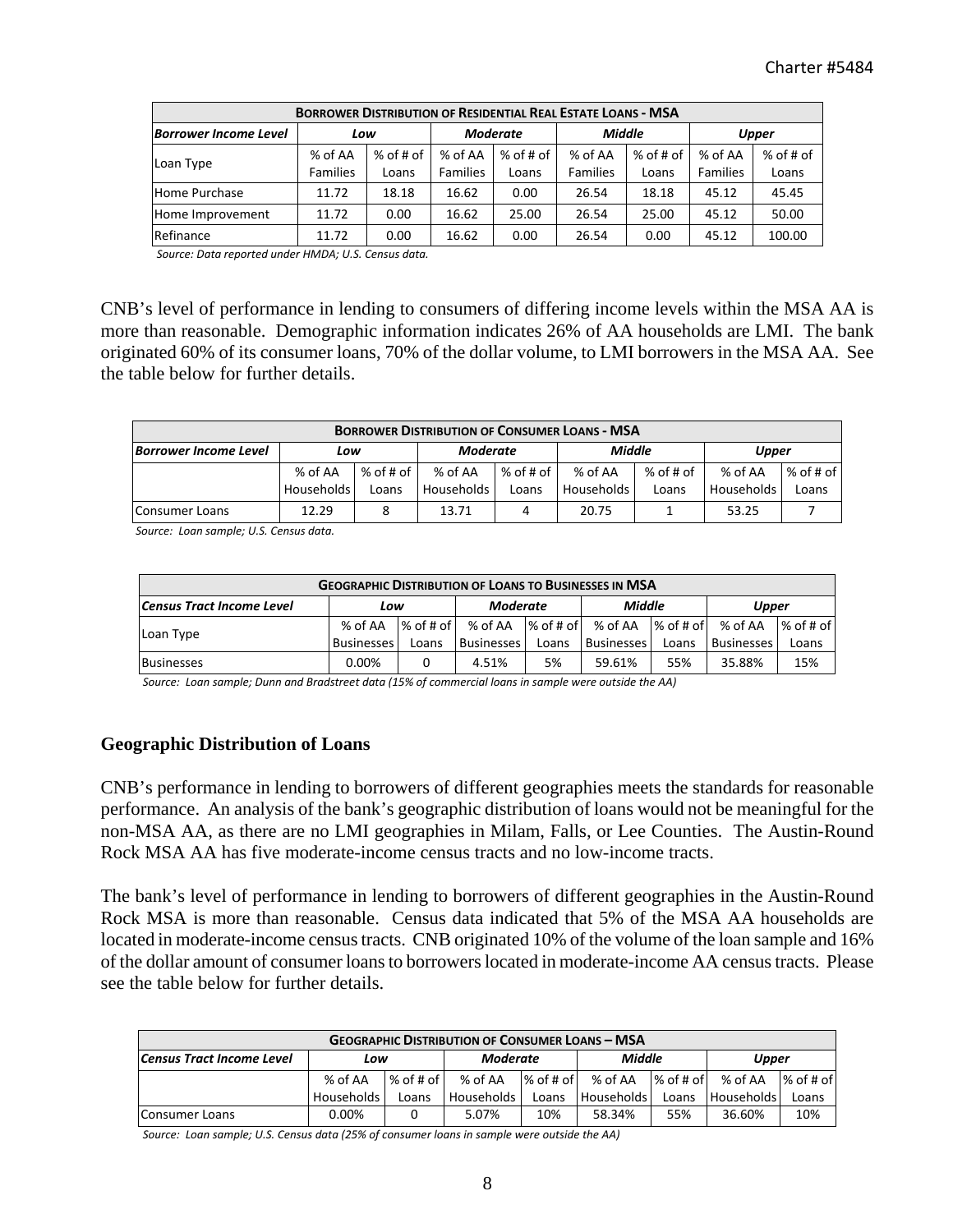| <b>BORROWER DISTRIBUTION OF RESIDENTIAL REAL ESTATE LOANS - MSA</b> |                            |                    |                            |                    |                            |                    |                            |                      |  |  |  |  |
|---------------------------------------------------------------------|----------------------------|--------------------|----------------------------|--------------------|----------------------------|--------------------|----------------------------|----------------------|--|--|--|--|
| <b>Borrower Income Level</b>                                        | Low                        |                    | <b>Moderate</b>            |                    | <b>Middle</b>              |                    | <b>Upper</b>               |                      |  |  |  |  |
| Loan Type                                                           | % of AA<br><b>Families</b> | % of # of<br>Loans | % of AA<br><b>Families</b> | % of # of<br>Loans | % of AA<br><b>Families</b> | % of # of<br>Loans | % of AA<br><b>Families</b> | $%$ of # of<br>Loans |  |  |  |  |
| Home Purchase                                                       | 11.72                      | 18.18              | 16.62                      | 0.00               | 26.54                      | 18.18              | 45.12                      | 45.45                |  |  |  |  |
| Home Improvement                                                    | 11.72                      | 0.00               | 16.62                      | 25.00              | 26.54                      | 25.00              | 45.12                      | 50.00                |  |  |  |  |
| Refinance                                                           | 11.72                      | 0.00               | 16.62                      | 0.00               | 26.54                      | 0.00               | 45.12                      | 100.00               |  |  |  |  |

 *Source: Data reported under HMDA; U.S. Census data.*

CNB's level of performance in lending to consumers of differing income levels within the MSA AA is more than reasonable. Demographic information indicates 26% of AA households are LMI. The bank originated 60% of its consumer loans, 70% of the dollar volume, to LMI borrowers in the MSA AA. See the table below for further details.

| <b>BORROWER DISTRIBUTION OF CONSUMER LOANS - MSA</b> |              |             |                 |             |               |             |            |             |  |  |  |
|------------------------------------------------------|--------------|-------------|-----------------|-------------|---------------|-------------|------------|-------------|--|--|--|
| <b>Borrower Income Level</b>                         | Low          |             | <b>Moderate</b> |             | <b>Middle</b> |             | Upper      |             |  |  |  |
|                                                      | % of AA      | $%$ of # of | % of AA         | $%$ of # of | % of AA       | $%$ of # of | % of AA    | $%$ of # of |  |  |  |
|                                                      | Households I | Loans       | Households      | Loans       | Households    | Loans       | Households | Loans       |  |  |  |
| Consumer Loans                                       | 12.29        |             | 13.71           | 4           | 20.75         |             | 53.25      |             |  |  |  |

 *Source: Loan sample; U.S. Census data.*

| <b>GEOGRAPHIC DISTRIBUTION OF LOANS TO BUSINESSES IN MSA</b> |            |                     |                     |       |                           |       |                   |             |  |  |
|--------------------------------------------------------------|------------|---------------------|---------------------|-------|---------------------------|-------|-------------------|-------------|--|--|
| <b>Census Tract Income Level</b>                             | Low        |                     | Moderate            |       | Middle                    |       | Upper             |             |  |  |
| Loan Type                                                    | % of AA    | $%$ of # of $\vert$ | % of AA % of # of L |       | % of AA X of # of x of AA |       |                   | $%$ of # of |  |  |
|                                                              | Businesses | Loans               | <b>Businesses</b>   | Loans | <b>Businesses</b>         | Loans | <b>Businesses</b> | Loans       |  |  |
| <b>Businesses</b>                                            | 0.00%      |                     | 4.51%               | 5%    | 59.61%                    | 55%   | 35.88%            | 15%         |  |  |

(Address Loan sample; Dunn and Bradstreet data (15% of commercial loans in sample were outside the AA

#### **Geographic Distribution of Loans**

CNB's performance in lending to borrowers of different geographies meets the standards for reasonable performance. An analysis of the bank's geographic distribution of loans would not be meaningful for the non-MSA AA, as there are no LMI geographies in Milam, Falls, or Lee Counties. The Austin-Round Rock MSA AA has five moderate-income census tracts and no low-income tracts.

The bank's level of performance in lending to borrowers of different geographies in the Austin-Round Rock MSA is more than reasonable. Census data indicated that 5% of the MSA AA households are located in moderate-income census tracts. CNB originated 10% of the volume of the loan sample and 16% of the dollar amount of consumer loans to borrowers located in moderate-income AA census tracts. Please see the table below for further details.

| <b>GEOGRAPHIC DISTRIBUTION OF CONSUMER LOANS - MSA</b> |            |             |                 |             |               |             |                   |             |  |  |  |  |
|--------------------------------------------------------|------------|-------------|-----------------|-------------|---------------|-------------|-------------------|-------------|--|--|--|--|
| Census Tract Income Level                              | Low        |             | <b>Moderate</b> |             | <b>Middle</b> |             | Upper             |             |  |  |  |  |
|                                                        | % of AA    | $%$ of # of | $%$ of AA       | $%$ of # of | % of AA       | $%$ of # of | % of AA           | $%$ of # of |  |  |  |  |
|                                                        | Households | Loans       | Households      | Loans       | Households    | Loans       | <b>Households</b> | Loans       |  |  |  |  |
| Consumer Loans                                         | $0.00\%$   |             | 5.07%           | 10%         | 58.34%        | 55%         | 36.60%            | 10%         |  |  |  |  |

Source: Loan sample; U.S. Census data (25% of consumer loans in sample were outside the AA)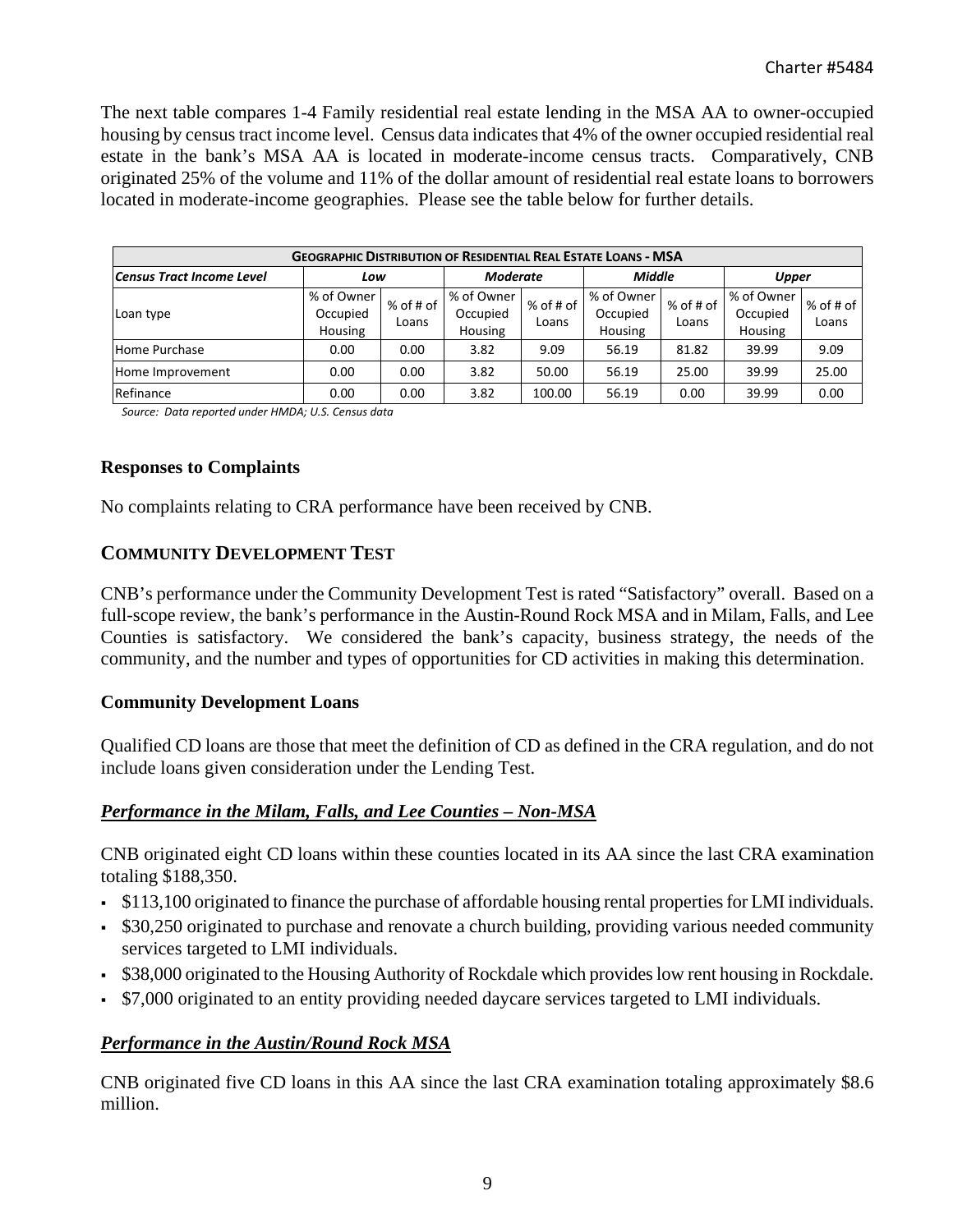The next table compares 1-4 Family residential real estate lending in the MSA AA to owner-occupied housing by census tract income level. Census data indicates that 4% of the owner occupied residential real estate in the bank's MSA AA is located in moderate-income census tracts. Comparatively, CNB originated 25% of the volume and 11% of the dollar amount of residential real estate loans to borrowers located in moderate-income geographies. Please see the table below for further details.

| <b>GEOGRAPHIC DISTRIBUTION OF RESIDENTIAL REAL ESTATE LOANS - MSA</b> |                                   |                      |                                   |                      |                                   |                    |                                          |                      |  |  |  |  |
|-----------------------------------------------------------------------|-----------------------------------|----------------------|-----------------------------------|----------------------|-----------------------------------|--------------------|------------------------------------------|----------------------|--|--|--|--|
| Census Tract Income Level                                             | Low                               |                      | <b>Moderate</b>                   |                      | <b>Middle</b>                     |                    | Upper                                    |                      |  |  |  |  |
| Loan type                                                             | % of Owner<br>Occupied<br>Housing | $%$ of # of<br>Loans | % of Owner<br>Occupied<br>Housing | $%$ of # of<br>Loans | % of Owner<br>Occupied<br>Housing | % of # of<br>Loans | % of Owner<br>Occupied<br><b>Housing</b> | $%$ of # of<br>Loans |  |  |  |  |
| Home Purchase                                                         | 0.00                              | 0.00                 | 3.82                              | 9.09                 | 56.19                             | 81.82              | 39.99                                    | 9.09                 |  |  |  |  |
| Home Improvement                                                      | 0.00                              | 0.00                 | 3.82                              | 50.00                | 56.19                             | 25.00              | 39.99                                    | 25.00                |  |  |  |  |
| Refinance                                                             | 0.00                              | 0.00                 | 3.82                              | 100.00               | 56.19                             | 0.00               | 39.99                                    | 0.00                 |  |  |  |  |

 *Source: Data reported under HMDA; U.S. Census data*

#### **Responses to Complaints**

No complaints relating to CRA performance have been received by CNB.

## **COMMUNITY DEVELOPMENT TEST**

CNB's performance under the Community Development Test is rated "Satisfactory" overall. Based on a full-scope review, the bank's performance in the Austin-Round Rock MSA and in Milam, Falls, and Lee Counties is satisfactory. We considered the bank's capacity, business strategy, the needs of the community, and the number and types of opportunities for CD activities in making this determination.

## **Community Development Loans**

Qualified CD loans are those that meet the definition of CD as defined in the CRA regulation, and do not include loans given consideration under the Lending Test.

## *Performance in the Milam, Falls, and Lee Counties – Non-MSA*

CNB originated eight CD loans within these counties located in its AA since the last CRA examination totaling \$188,350.

- $\cdot$  \$113,100 originated to finance the purchase of affordable housing rental properties for LMI individuals.
- \$30,250 originated to purchase and renovate a church building, providing various needed community services targeted to LMI individuals.
- \$38,000 originated to the Housing Authority of Rockdale which provides low rent housing in Rockdale.
- \$7,000 originated to an entity providing needed daycare services targeted to LMI individuals.

## *Performance in the Austin/Round Rock MSA*

CNB originated five CD loans in this AA since the last CRA examination totaling approximately \$8.6 million.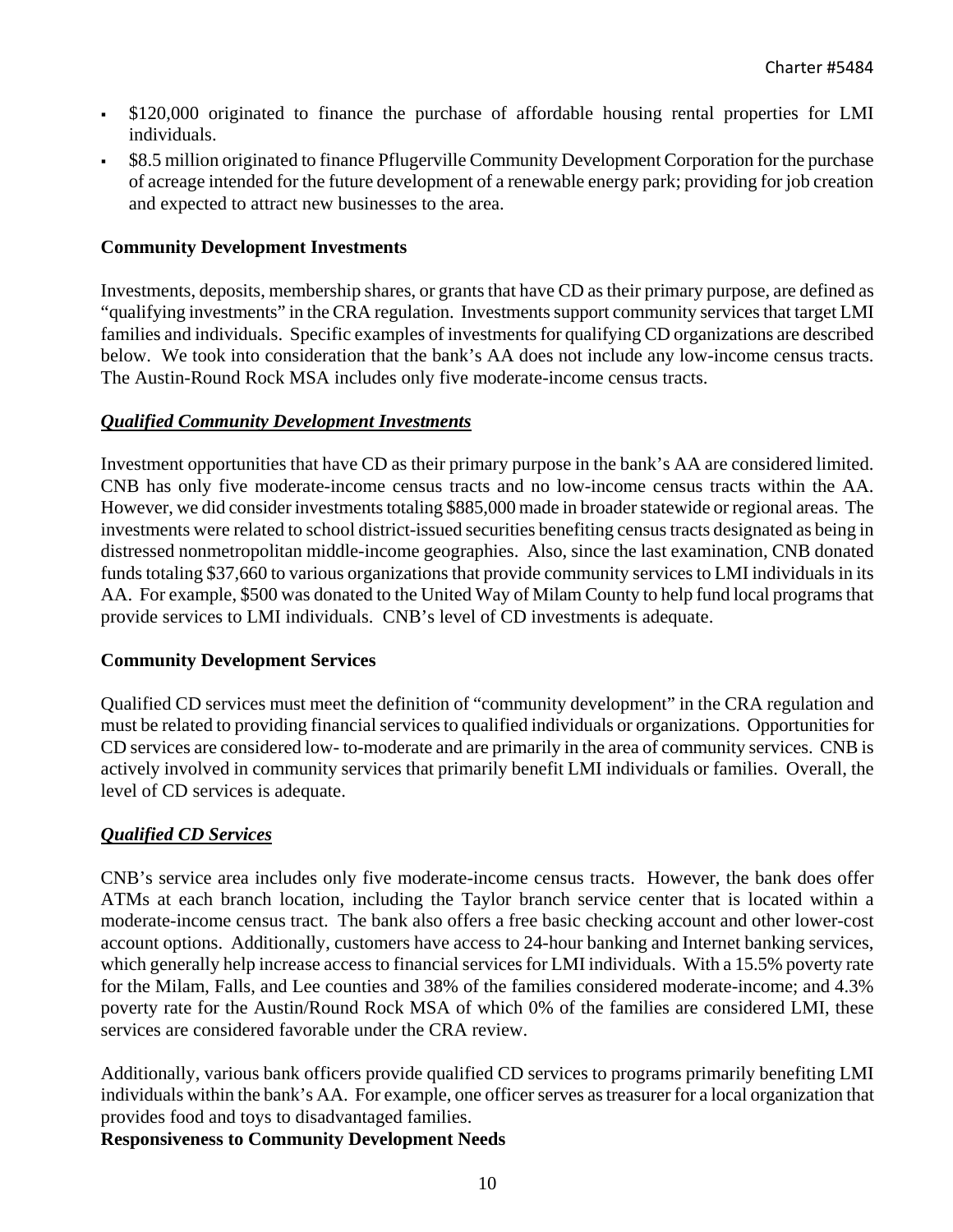- \$120,000 originated to finance the purchase of affordable housing rental properties for LMI individuals.
- \$8.5 million originated to finance Pflugerville Community Development Corporation for the purchase of acreage intended for the future development of a renewable energy park; providing for job creation and expected to attract new businesses to the area.

## **Community Development Investments**

Investments, deposits, membership shares, or grants that have CD as their primary purpose, are defined as "qualifying investments" in the CRA regulation. Investments support community services that target LMI families and individuals. Specific examples of investments for qualifying CD organizations are described below. We took into consideration that the bank's AA does not include any low-income census tracts. The Austin-Round Rock MSA includes only five moderate-income census tracts.

## *Qualified Community Development Investments*

Investment opportunities that have CD as their primary purpose in the bank's AA are considered limited. CNB has only five moderate-income census tracts and no low-income census tracts within the AA. However, we did consider investments totaling \$885,000 made in broader statewide or regional areas. The investments were related to school district-issued securities benefiting census tracts designated as being in distressed nonmetropolitan middle-income geographies. Also, since the last examination, CNB donated funds totaling \$37,660 to various organizations that provide community services to LMI individuals in its AA. For example, \$500 was donated to the United Way of Milam County to help fund local programs that provide services to LMI individuals. CNB's level of CD investments is adequate.

## **Community Development Services**

Qualified CD services must meet the definition of "community development" in the CRA regulation and must be related to providing financial services to qualified individuals or organizations. Opportunities for CD services are considered low- to-moderate and are primarily in the area of community services. CNB is actively involved in community services that primarily benefit LMI individuals or families. Overall, the level of CD services is adequate.

## *Qualified CD Services*

CNB's service area includes only five moderate-income census tracts. However, the bank does offer ATMs at each branch location, including the Taylor branch service center that is located within a moderate-income census tract. The bank also offers a free basic checking account and other lower-cost account options. Additionally, customers have access to 24-hour banking and Internet banking services, which generally help increase access to financial services for LMI individuals. With a 15.5% poverty rate for the Milam, Falls, and Lee counties and 38% of the families considered moderate-income; and 4.3% poverty rate for the Austin/Round Rock MSA of which 0% of the families are considered LMI, these services are considered favorable under the CRA review.

Additionally, various bank officers provide qualified CD services to programs primarily benefiting LMI individuals within the bank's AA. For example, one officer serves as treasurer for a local organization that provides food and toys to disadvantaged families.

**Responsiveness to Community Development Needs**